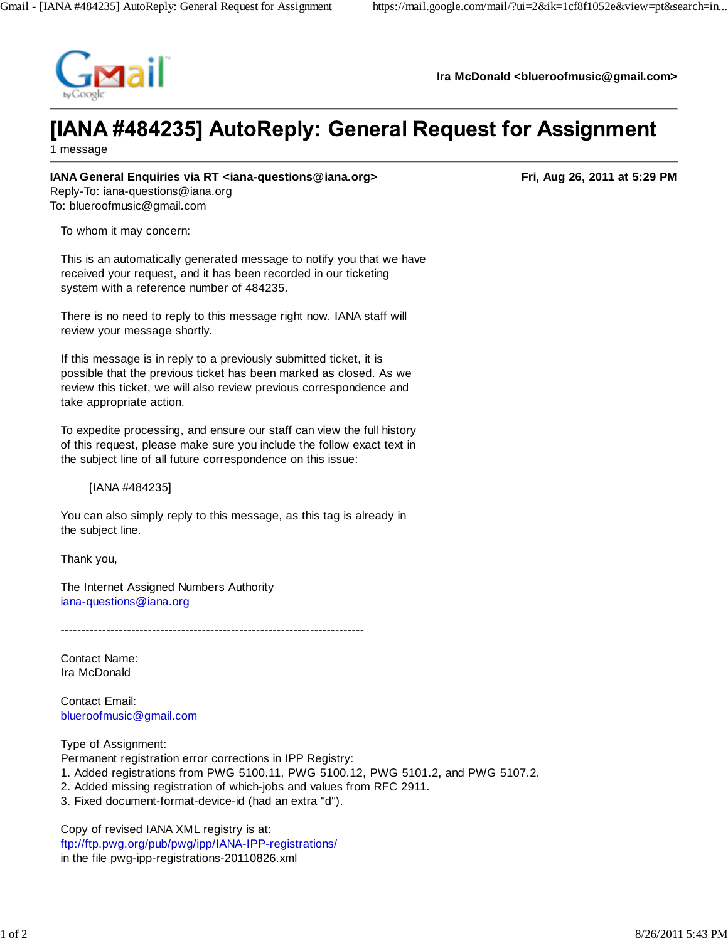

**Ira McDonald <blueroofmusic@gmail.com>**

## [IANA #484235] AutoReply: General Request for Assignment

1 message

## **IANA General Enquiries via RT <iana-questions@iana.org>** Fried Constantine Research 10to 13to 13to 14th 5:29 PM

Reply-To: iana-questions@iana.org To: blueroofmusic@gmail.com

To whom it may concern:

This is an automatically generated message to notify you that we have received your request, and it has been recorded in our ticketing system with a reference number of 484235.

There is no need to reply to this message right now. IANA staff will review your message shortly.

If this message is in reply to a previously submitted ticket, it is possible that the previous ticket has been marked as closed. As we review this ticket, we will also review previous correspondence and take appropriate action.

To expedite processing, and ensure our staff can view the full history of this request, please make sure you include the follow exact text in the subject line of all future correspondence on this issue:

[IANA #484235]

You can also simply reply to this message, as this tag is already in the subject line.

Thank you,

The Internet Assigned Numbers Authority iana-questions@iana.org

-------------------------------------------------------------------------

Contact Name: Ira McDonald

Contact Email: blueroofmusic@gmail.com

Type of Assignment:

Permanent registration error corrections in IPP Registry:

- 1. Added registrations from PWG 5100.11, PWG 5100.12, PWG 5101.2, and PWG 5107.2.
- 2. Added missing registration of which-jobs and values from RFC 2911.
- 3. Fixed document-format-device-id (had an extra "d").

Copy of revised IANA XML registry is at: ftp://ftp.pwg.org/pub/pwg/ipp/IANA-IPP-registrations/ in the file pwg-ipp-registrations-20110826.xml